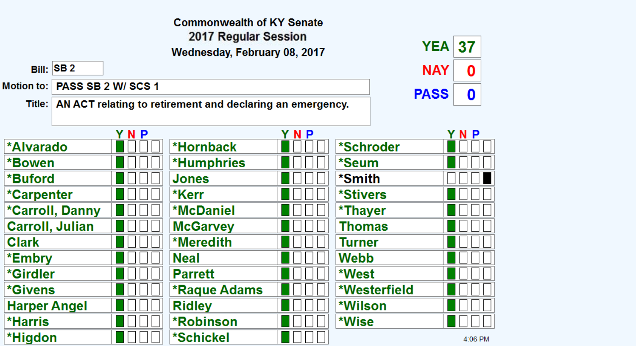|                       |                        |                   | <b>Commonwealth of KY Senate</b>                                   |     |               |             |         |
|-----------------------|------------------------|-------------------|--------------------------------------------------------------------|-----|---------------|-------------|---------|
|                       |                        |                   | 2017 Regular Session                                               |     |               | <b>YEA</b>  | 37      |
|                       |                        |                   | Wednesday, February 08, 2017                                       |     |               |             |         |
|                       | <b>Bill: SB2</b>       |                   |                                                                    |     |               | <b>NAY</b>  | 0       |
| <b>Motion to:</b>     |                        | PASS SB 2 W/SCS 1 |                                                                    |     |               | <b>PASS</b> | 0       |
|                       |                        |                   | Title:   AN ACT relating to retirement and declaring an emergency. |     |               |             |         |
|                       |                        |                   |                                                                    |     |               |             |         |
|                       |                        | YNP               |                                                                    | YNP |               |             | YNP     |
| <b>*Alvarado</b>      |                        |                   | *Hornback                                                          |     | *Schroder     |             |         |
| *Bowen                |                        |                   | <b>*Humphries</b>                                                  |     | *Seum         |             |         |
| *Buford               |                        |                   | <b>Jones</b>                                                       |     | *Smith        |             |         |
| *Carpenter            |                        |                   | *Kerr                                                              |     | *Stivers      |             |         |
|                       | *Carroll, Danny        |                   | *McDaniel                                                          |     | *Thayer       |             |         |
|                       | <b>Carroll, Julian</b> |                   | <b>McGarvey</b>                                                    |     | <b>Thomas</b> |             |         |
| <b>Clark</b>          |                        |                   | <b>*Meredith</b>                                                   |     | Turner        |             |         |
| *Embry                |                        |                   | <b>Neal</b>                                                        |     | Webb          |             |         |
| *Girdler              |                        |                   | <b>Parrett</b>                                                     |     | *West         |             |         |
| <i><b>*Givens</b></i> |                        |                   | <b>*Raque Adams</b>                                                |     | *Westerfield  |             |         |
| <b>Harper Angel</b>   |                        |                   | <b>Ridley</b>                                                      |     | *Wilson       |             |         |
| *Harris               |                        |                   | <b>*Robinson</b>                                                   |     | *Wise         |             |         |
| *Higdon               |                        |                   | *Schickel                                                          |     |               |             | 4:06 PM |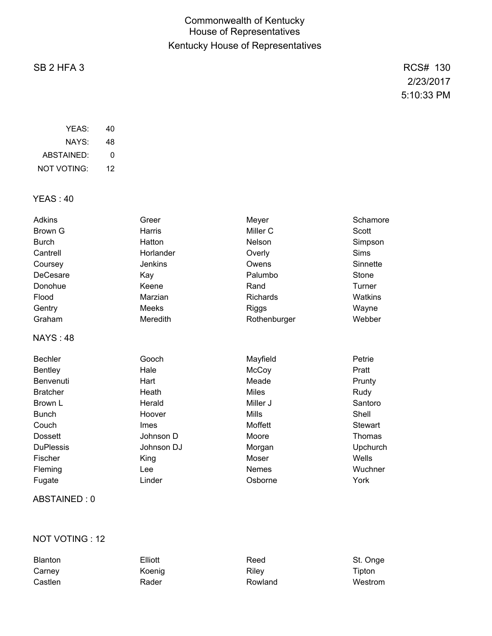## Commonwealth of Kentucky House of Representatives Kentucky House of Representatives

# SB 2 HFA 3 RCS# 130

2/23/2017 5:10:33 PM

| YFAS:       | 40 |
|-------------|----|
| NAYS:       | 48 |
| ABSTAINED:  | O  |
| NOT VOTING: | 12 |

YEAS : 40

| Adkins           | Greer          | Meyer        | Schamore       |
|------------------|----------------|--------------|----------------|
| Brown G          | Harris         | Miller C     | Scott          |
| <b>Burch</b>     | Hatton         | Nelson       | Simpson        |
| Cantrell         | Horlander      | Overly       | Sims           |
| Coursey          | <b>Jenkins</b> | Owens        | Sinnette       |
| <b>DeCesare</b>  | Kay            | Palumbo      | Stone          |
| Donohue          | Keene          | Rand         | Turner         |
| Flood            | Marzian        | Richards     | Watkins        |
| Gentry           | Meeks          | <b>Riggs</b> | Wayne          |
| Graham           | Meredith       | Rothenburger | Webber         |
| <b>NAYS: 48</b>  |                |              |                |
| <b>Bechler</b>   | Gooch          | Mayfield     | Petrie         |
| <b>Bentley</b>   | Hale           | McCoy        | Pratt          |
| Benvenuti        | Hart           | Meade        | Prunty         |
| <b>Bratcher</b>  | Heath          | <b>Miles</b> | Rudy           |
| Brown L          | Herald         | Miller J     | Santoro        |
| <b>Bunch</b>     | Hoover         | <b>Mills</b> | Shell          |
| Couch            | Imes           | Moffett      | <b>Stewart</b> |
| <b>Dossett</b>   | Johnson D      | Moore        | Thomas         |
| <b>DuPlessis</b> | Johnson DJ     | Morgan       | Upchurch       |
| Fischer          | King           | Moser        | Wells          |
| Fleming          | Lee            | <b>Nemes</b> | Wuchner        |
| Fugate           | Linder         | Osborne      | York           |

#### ABSTAINED : 0

### NOT VOTING : 12

| <b>Blanton</b> | Elliott | Reed    | St. Onge |
|----------------|---------|---------|----------|
| Carney         | Koenig  | Rilev   | Tipton   |
| Castlen        | Rader   | Rowland | Westrom  |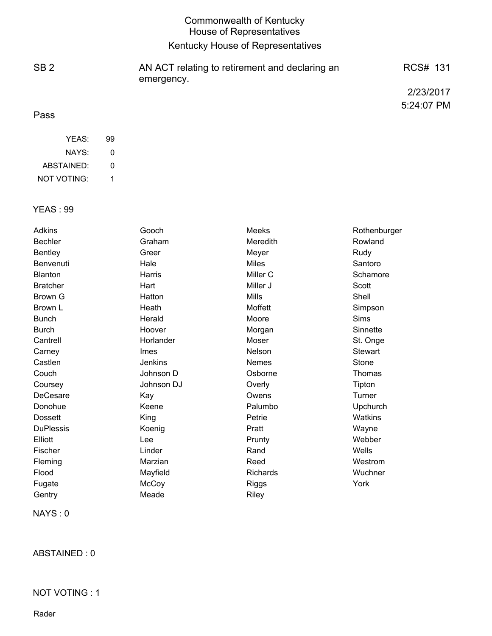|                 | Commonwealth of Kentucky<br><b>House of Representatives</b>  |            |
|-----------------|--------------------------------------------------------------|------------|
|                 | Kentucky House of Representatives                            |            |
| SB <sub>2</sub> | AN ACT relating to retirement and declaring an<br>emergency. | RCS# 131   |
|                 |                                                              | 2/23/2017  |
| Pass            |                                                              | 5:24:07 PM |

| YEAS:              | 99 |
|--------------------|----|
| NAYS:              | 0  |
| ABSTAINED:         | 0  |
| <b>NOT VOTING:</b> | 1  |

#### YEAS : 99

| Adkins           | Gooch          | Meeks           | Rothenburger    |
|------------------|----------------|-----------------|-----------------|
| <b>Bechler</b>   | Graham         | Meredith        | Rowland         |
| <b>Bentley</b>   | Greer          | Meyer           | Rudy            |
| Benvenuti        | Hale           | <b>Miles</b>    | Santoro         |
| <b>Blanton</b>   | Harris         | Miller C        | Schamore        |
| <b>Bratcher</b>  | Hart           | Miller J        | Scott           |
| Brown G          | Hatton         | <b>Mills</b>    | Shell           |
| Brown L          | Heath          | Moffett         | Simpson         |
| <b>Bunch</b>     | Herald         | Moore           | Sims            |
| <b>Burch</b>     | Hoover         | Morgan          | Sinnette        |
| Cantrell         | Horlander      | Moser           | St. Onge        |
| Carney           | <b>Imes</b>    | Nelson          | <b>Stewart</b>  |
| Castlen          | <b>Jenkins</b> | Nemes           | Stone           |
| Couch            | Johnson D      | Osborne         | Thomas          |
| Coursey          | Johnson DJ     | Overly          | Tipton          |
| DeCesare         | Kay            | Owens           | Turner          |
| Donohue          | Keene          | Palumbo         | <b>Upchurch</b> |
| <b>Dossett</b>   | King           | Petrie          | Watkins         |
| <b>DuPlessis</b> | Koenig         | Pratt           | Wayne           |
| Elliott          | Lee            | Prunty          | Webber          |
| Fischer          | Linder         | Rand            | Wells           |
| Fleming          | Marzian        | Reed            | Westrom         |
| Flood            | Mayfield       | <b>Richards</b> | Wuchner         |
| Fugate           | McCoy          | Riggs           | York            |
| Gentry           | Meade          | Riley           |                 |

NAYS : 0

ABSTAINED : 0

## NOT VOTING : 1

Rader